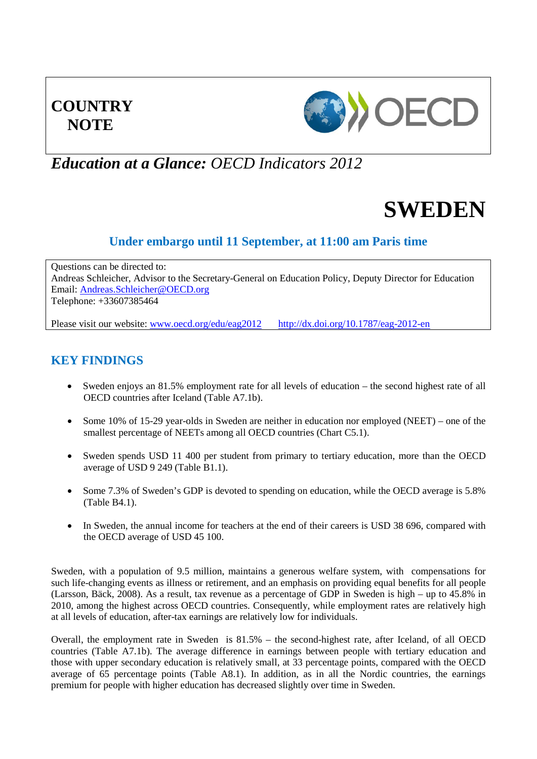# **COUNTRY NOTE**



## *Education at a Glance: OECD Indicators 2012*

# **SWEDEN**

## **Under embargo until 11 September, at 11:00 am Paris time**

Questions can be directed to: Andreas Schleicher, Advisor to the Secretary-General on Education Policy, Deputy Director for Education Email: [Andreas.Schleicher@OECD.org](mailto:Andreas.Schleicher@OECD.org) Telephone: +33607385464

Please visit our website: [www.oecd.org/edu/eag2012](http://www.oecd.org/edu/eag2012) <http://dx.doi.org/10.1787/eag-2012-en>

## **KEY FINDINGS**

- Sweden enjoys an 81.5% employment rate for all levels of education the second highest rate of all OECD countries after Iceland (Table A7.1b).
- Some 10% of 15-29 year-olds in Sweden are neither in education nor employed (NEET) one of the smallest percentage of NEETs among all OECD countries (Chart C5.1).
- Sweden spends USD 11 400 per student from primary to tertiary education, more than the OECD average of USD 9 249 (Table B1.1).
- Some 7.3% of Sweden's GDP is devoted to spending on education, while the OECD average is 5.8% (Table B4.1).
- In Sweden, the annual income for teachers at the end of their careers is USD 38 696, compared with the OECD average of USD 45 100.

Sweden, with a population of 9.5 million, maintains a generous welfare system, with compensations for such life-changing events as illness or retirement, and an emphasis on providing equal benefits for all people (Larsson, Bäck, 2008). As a result, tax revenue as a percentage of GDP in Sweden is high – up to 45.8% in 2010, among the highest across OECD countries. Consequently, while employment rates are relatively high at all levels of education, after-tax earnings are relatively low for individuals.

Overall, the employment rate in Sweden is 81.5% – the second-highest rate, after Iceland, of all OECD countries (Table A7.1b). The average difference in earnings between people with tertiary education and those with upper secondary education is relatively small, at 33 percentage points, compared with the OECD average of 65 percentage points (Table A8.1). In addition, as in all the Nordic countries, the earnings premium for people with higher education has decreased slightly over time in Sweden.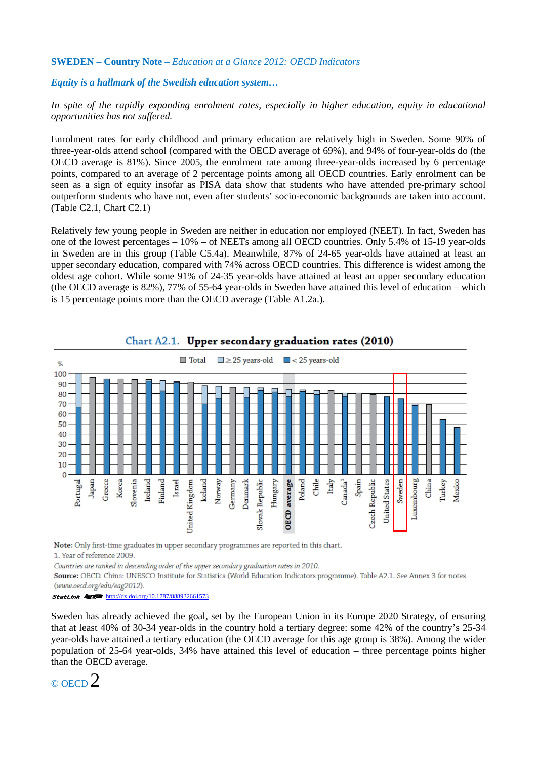#### *Equity is a hallmark of the Swedish education system…*

In spite of the rapidly expanding enrolment rates, especially in higher education, equity in educational *opportunities has not suffered.* 

Enrolment rates for early childhood and primary education are relatively high in Sweden. Some 90% of three-year-olds attend school (compared with the OECD average of 69%), and 94% of four-year-olds do (the OECD average is 81%). Since 2005, the enrolment rate among three-year-olds increased by 6 percentage points, compared to an average of 2 percentage points among all OECD countries. Early enrolment can be seen as a sign of equity insofar as PISA data show that students who have attended pre-primary school outperform students who have not, even after students' socio-economic backgrounds are taken into account. (Table C2.1, Chart C2.1)

Relatively few young people in Sweden are neither in education nor employed (NEET). In fact, Sweden has one of the lowest percentages – 10% – of NEETs among all OECD countries. Only 5.4% of 15-19 year-olds in Sweden are in this group (Table C5.4a). Meanwhile, 87% of 24-65 year-olds have attained at least an upper secondary education, compared with 74% across OECD countries. This difference is widest among the oldest age cohort. While some 91% of 24-35 year-olds have attained at least an upper secondary education (the OECD average is 82%), 77% of 55-64 year-olds in Sweden have attained this level of education – which is 15 percentage points more than the OECD average (Table A1.2a.).



#### Chart A2.1. Upper secondary graduation rates (2010)

Note: Only first-time graduates in upper secondary programmes are reported in this chart.

1. Year of reference 2009.

Countries are ranked in descending order of the upper secondary graduation rates in 2010.

Source: OECD. China: UNESCO Institute for Statistics (World Education Indicators programme). Table A2.1. See Annex 3 for notes

(www.oecd.org/edu/eag2012).<br>**StatLink & for http:**//dx.doi.org/10.1787/888932661573

Sweden has already achieved the goal, set by the European Union in its Europe 2020 Strategy, of ensuring that at least 40% of 30-34 year-olds in the country hold a tertiary degree: some 42% of the country's 25-34 year-olds have attained a tertiary education (the OECD average for this age group is 38%). Among the wider population of 25-64 year-olds, 34% have attained this level of education – three percentage points higher than the OECD average.

© OECD 2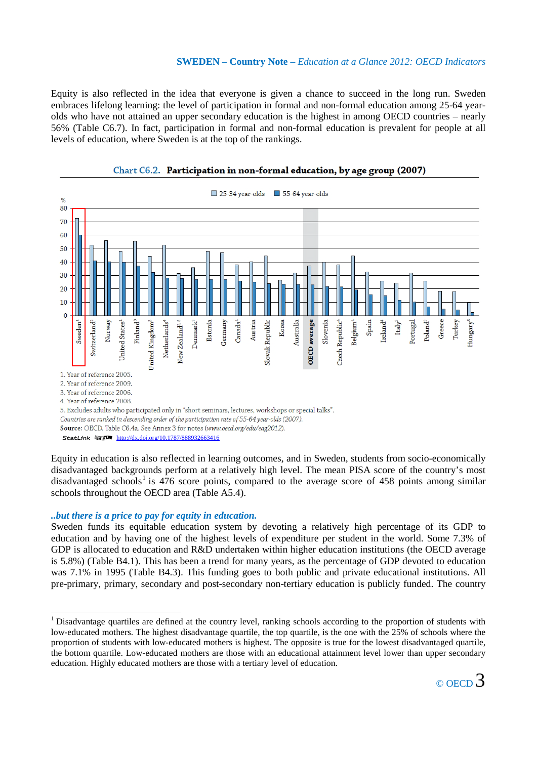Equity is also reflected in the idea that everyone is given a chance to succeed in the long run. Sweden embraces lifelong learning: the level of participation in formal and non-formal education among 25-64 yearolds who have not attained an upper secondary education is the highest in among OECD countries – nearly 56% (Table C6.7). In fact, participation in formal and non-formal education is prevalent for people at all levels of education, where Sweden is at the top of the rankings.



Chart C6.2. Participation in non-formal education, by age group (2007)

Equity in education is also reflected in learning outcomes, and in Sweden, students from socio-economically disadvantaged backgrounds perform at a relatively high level. The mean PISA score of the country's most disadvantaged schools<sup>[1](#page-2-0)</sup> is 476 score points, compared to the average score of 458 points among similar schools throughout the OECD area (Table A5.4).

#### *..but there is a price to pay for equity in education.*

Sweden funds its equitable education system by devoting a relatively high percentage of its GDP to education and by having one of the highest levels of expenditure per student in the world. Some 7.3% of GDP is allocated to education and R&D undertaken within higher education institutions (the OECD average is 5.8%) (Table B4.1). This has been a trend for many years, as the percentage of GDP devoted to education was 7.1% in 1995 (Table B4.3). This funding goes to both public and private educational institutions. All pre-primary, primary, secondary and post-secondary non-tertiary education is publicly funded. The country

<span id="page-2-0"></span><sup>&</sup>lt;sup>1</sup> Disadvantage quartiles are defined at the country level, ranking schools according to the proportion of students with low-educated mothers. The highest disadvantage quartile, the top quartile, is the one with the 25% of schools where the proportion of students with low-educated mothers is highest. The opposite is true for the lowest disadvantaged quartile, the bottom quartile. Low-educated mothers are those with an educational attainment level lower than upper secondary education. Highly educated mothers are those with a tertiary level of education.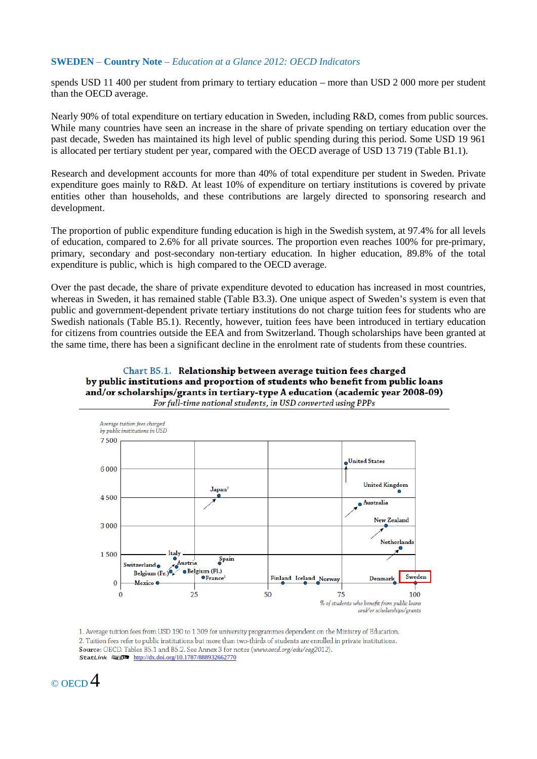spends USD 11 400 per student from primary to tertiary education – more than USD 2 000 more per student than the OECD average.

Nearly 90% of total expenditure on tertiary education in Sweden, including R&D, comes from public sources. While many countries have seen an increase in the share of private spending on tertiary education over the past decade, Sweden has maintained its high level of public spending during this period. Some USD 19 961 is allocated per tertiary student per year, compared with the OECD average of USD 13 719 (Table B1.1).

Research and development accounts for more than 40% of total expenditure per student in Sweden. Private expenditure goes mainly to R&D. At least 10% of expenditure on tertiary institutions is covered by private entities other than households, and these contributions are largely directed to sponsoring research and development.

The proportion of public expenditure funding education is high in the Swedish system, at 97.4% for all levels of education, compared to 2.6% for all private sources. The proportion even reaches 100% for pre-primary, primary, secondary and post-secondary non-tertiary education. In higher education, 89.8% of the total expenditure is public, which is high compared to the OECD average.

Over the past decade, the share of private expenditure devoted to education has increased in most countries, whereas in Sweden, it has remained stable (Table B3.3). One unique aspect of Sweden's system is even that public and government-dependent private tertiary institutions do not charge tuition fees for students who are Swedish nationals (Table B5.1). Recently, however, tuition fees have been introduced in tertiary education for citizens from countries outside the EEA and from Switzerland. Though scholarships have been granted at the same time, there has been a significant decline in the enrolment rate of students from these countries.

#### Chart B5.1. Relationship between average tuition fees charged by public institutions and proportion of students who benefit from public loans and/or scholarships/grants in tertiary-type A education (academic year 2008-09) For full-time national students, in USD converted using PPPs



1. Average tuition fees from USD 190 to 1 309 for university programmes dependent on the Ministry of Education. 2. Tuition fees refer to public institutions but more than two-thirds of students are enrolled in private institutions. Source: OECD. Tables B5.1 and B5.2. See Annex 3 for notes (www.oecd.org/edu/eag2012). StatLink  $\frac{1}{2}$  <http://dx.doi.org/10.1787/888932662770>

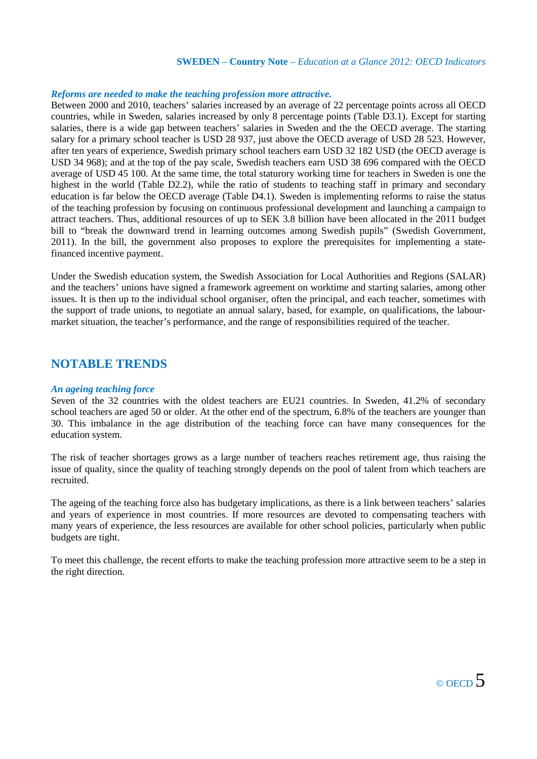#### *Reforms are needed to make the teaching profession more attractive.*

Between 2000 and 2010, teachers' salaries increased by an average of 22 percentage points across all OECD countries, while in Sweden, salaries increased by only 8 percentage points (Table D3.1). Except for starting salaries, there is a wide gap between teachers' salaries in Sweden and the the OECD average. The starting salary for a primary school teacher is USD 28 937, just above the OECD average of USD 28 523. However, after ten years of experience, Swedish primary school teachers earn USD 32 182 USD (the OECD average is USD 34 968); and at the top of the pay scale, Swedish teachers earn USD 38 696 compared with the OECD average of USD 45 100. At the same time, the total staturory working time for teachers in Sweden is one the highest in the world (Table D2.2), while the ratio of students to teaching staff in primary and secondary education is far below the OECD average (Table D4.1). Sweden is implementing reforms to raise the status of the teaching profession by focusing on continuous professional development and launching a campaign to attract teachers. Thus, additional resources of up to SEK 3.8 billion have been allocated in the 2011 budget bill to "break the downward trend in learning outcomes among Swedish pupils" (Swedish Government, 2011). In the bill, the government also proposes to explore the prerequisites for implementing a statefinanced incentive payment.

Under the Swedish education system, the Swedish Association for Local Authorities and Regions (SALAR) and the teachers' unions have signed a framework agreement on worktime and starting salaries, among other issues. It is then up to the individual school organiser, often the principal, and each teacher, sometimes with the support of trade unions, to negotiate an annual salary, based, for example, on qualifications, the labourmarket situation, the teacher's performance, and the range of responsibilities required of the teacher.

## **NOTABLE TRENDS**

#### *An ageing teaching force*

Seven of the 32 countries with the oldest teachers are EU21 countries. In Sweden, 41.2% of secondary school teachers are aged 50 or older. At the other end of the spectrum, 6.8% of the teachers are younger than 30. This imbalance in the age distribution of the teaching force can have many consequences for the education system.

The risk of teacher shortages grows as a large number of teachers reaches retirement age, thus raising the issue of quality, since the quality of teaching strongly depends on the pool of talent from which teachers are recruited.

The ageing of the teaching force also has budgetary implications, as there is a link between teachers' salaries and years of experience in most countries. If more resources are devoted to compensating teachers with many years of experience, the less resources are available for other school policies, particularly when public budgets are tight.

To meet this challenge, the recent efforts to make the teaching profession more attractive seem to be a step in the right direction.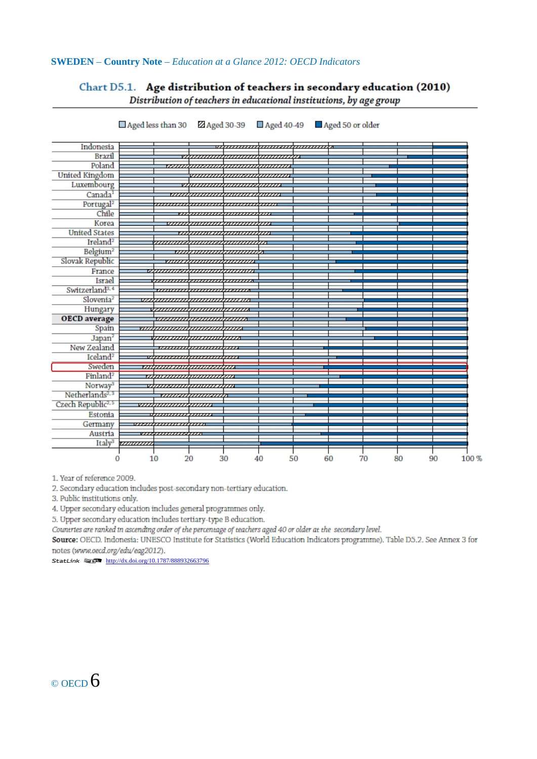#### Chart D5.1. Age distribution of teachers in secondary education (2010) Distribution of teachers in educational institutions, by age group

Indonesia w*aanaanaanaanaanaanaa* **Brazil** ,,,,,,,,,, uuuuu m Poland <del>waanaanaana</del> **United Kingdom** vaanaanaanaanaana Luxembourg ,,,,,,,,,,,,,,,,,,,,,,,,,,,,,,, Canada<sup>1</sup> <del>v*indunumamamamama*</del> Portugal<sup>2</sup> Chile <del>,,,,,,,,,,,,,,,,,,,,,,,,,,,,,,</del> Korea suunnammuunnammu **United States** <u>suunavaanaanaan</u> Ireland<sup>2</sup> uuuun ammanananan  $\overline{\mathbb{Z}}$ Belgium<sup>2</sup> <del>v*ubnomonomono*</del> Slovak Republic <u>vaaraamaanaanaan</u> France *uuunaannamaannan* Israel <del>,,,,,,,,,,,,,,,,,,,,,,,,,,,,,,,</del> Switzerland<sup>3,4</sup> <del>,,,,,,,,,,,,,,,,,,,,,,,,,,,,,,,</del> Slovenia<sup>2</sup> seepaanaanaanaanaana Hungary **OECD** average saanaanaanaanaana Spain waanaanamamamo Japan<sup>2</sup> <del>www.www.www.</del>ww New Zealand  $\overline{v}$ m ,,,, ,,,,,, Iceland<sup>2</sup> Sweden <del>maaanaanaanaanaa</del> Finland<sup>2</sup> <del>www.manapunana</del> Norway <del>mandananan</del>  $\overline{\mathcal{D}}$ v Netherlands<sup>2, 3</sup> <del>suunduummada</del> Czech Republic<sup>2, 5</sup> naaanaanaan m Estonia ,,,,,,,,,,  $\frac{1}{2}$ Germany ,,,,,,,,,,, ,,,,,, Austria ,,, ,,,,,,,,,, Italy<sup>3</sup> wwww T  $\overline{0}$  $10$  $20$ 30  $40$ 50 60 70 80 90 100 %

Z Aged 30-39 Aged 40-49 <br>Reed 50 or older  $\Box$  Aged less than 30

1. Year of reference 2009.

2. Secondary education includes post-secondary non-tertiary education.

3. Public institutions only.

4. Upper secondary education includes general programmes only.

5. Upper secondary education includes tertiary-type B education.

Countries are ranked in ascending order of the percentage of teachers aged 40 or older at the secondary level.

Source: OECD. Indonesia: UNESCO Institute for Statistics (World Education Indicators programme). Table D5.2. See Annex 3 for notes (www.oecd.org/edu/eag2012).

StatLink **1** 1 <http://dx.doi.org/10.1787/888932663796>

## $\circ$  OECD 6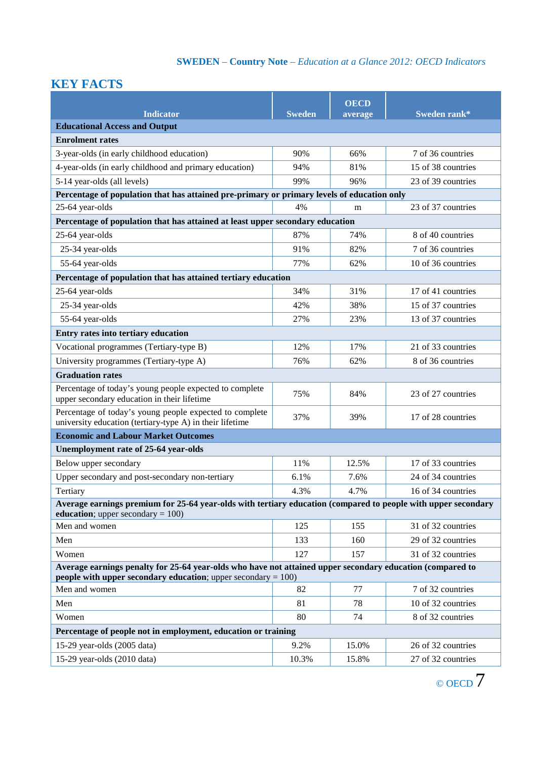## **KEY FACTS**

|                                                                                                                                                                               |               | <b>OECD</b> |                    |  |  |
|-------------------------------------------------------------------------------------------------------------------------------------------------------------------------------|---------------|-------------|--------------------|--|--|
| <b>Indicator</b>                                                                                                                                                              | <b>Sweden</b> | average     | Sweden rank*       |  |  |
| <b>Educational Access and Output</b>                                                                                                                                          |               |             |                    |  |  |
| <b>Enrolment rates</b>                                                                                                                                                        |               |             |                    |  |  |
| 3-year-olds (in early childhood education)                                                                                                                                    | 90%           | 66%         | 7 of 36 countries  |  |  |
| 4-year-olds (in early childhood and primary education)                                                                                                                        | 94%           | 81%         | 15 of 38 countries |  |  |
| 5-14 year-olds (all levels)                                                                                                                                                   | 99%           | 96%         | 23 of 39 countries |  |  |
| Percentage of population that has attained pre-primary or primary levels of education only                                                                                    |               |             |                    |  |  |
| 25-64 year-olds                                                                                                                                                               | 4%            | m           | 23 of 37 countries |  |  |
| Percentage of population that has attained at least upper secondary education                                                                                                 |               |             |                    |  |  |
| 25-64 year-olds                                                                                                                                                               | 87%           | 74%         | 8 of 40 countries  |  |  |
| 25-34 year-olds                                                                                                                                                               | 91%           | 82%         | 7 of 36 countries  |  |  |
| 55-64 year-olds                                                                                                                                                               | 77%           | 62%         | 10 of 36 countries |  |  |
| Percentage of population that has attained tertiary education                                                                                                                 |               |             |                    |  |  |
| 25-64 year-olds                                                                                                                                                               | 34%           | 31%         | 17 of 41 countries |  |  |
| 25-34 year-olds                                                                                                                                                               | 42%           | 38%         | 15 of 37 countries |  |  |
| 55-64 year-olds                                                                                                                                                               | 27%           | 23%         | 13 of 37 countries |  |  |
| Entry rates into tertiary education                                                                                                                                           |               |             |                    |  |  |
| Vocational programmes (Tertiary-type B)                                                                                                                                       | 12%           | 17%         | 21 of 33 countries |  |  |
| University programmes (Tertiary-type A)                                                                                                                                       | 76%           | 62%         | 8 of 36 countries  |  |  |
| <b>Graduation rates</b>                                                                                                                                                       |               |             |                    |  |  |
| Percentage of today's young people expected to complete<br>upper secondary education in their lifetime                                                                        | 75%           | 84%         | 23 of 27 countries |  |  |
| Percentage of today's young people expected to complete<br>university education (tertiary-type A) in their lifetime                                                           | 37%           | 39%         | 17 of 28 countries |  |  |
| <b>Economic and Labour Market Outcomes</b>                                                                                                                                    |               |             |                    |  |  |
| Unemployment rate of 25-64 year-olds                                                                                                                                          |               |             |                    |  |  |
| Below upper secondary                                                                                                                                                         | 11%           | 12.5%       | 17 of 33 countries |  |  |
| Upper secondary and post-secondary non-tertiary                                                                                                                               | 6.1%          | 7.6%        | 24 of 34 countries |  |  |
| Tertiary                                                                                                                                                                      | 4.3%          | 4.7%        | 16 of 34 countries |  |  |
| Average earnings premium for 25-64 year-olds with tertiary education (compared to people with upper secondary                                                                 |               |             |                    |  |  |
| education; upper secondary = $100$ )<br>Men and women                                                                                                                         | 125           |             |                    |  |  |
|                                                                                                                                                                               |               | 155         | 31 of 32 countries |  |  |
| Men                                                                                                                                                                           | 133           | 160         | 29 of 32 countries |  |  |
| Women                                                                                                                                                                         | 127           | 157         | 31 of 32 countries |  |  |
| Average earnings penalty for 25-64 year-olds who have not attained upper secondary education (compared to<br>people with upper secondary education; upper secondary $= 100$ ) |               |             |                    |  |  |
| Men and women                                                                                                                                                                 | 82            | 77          | 7 of 32 countries  |  |  |
| Men                                                                                                                                                                           | 81            | 78          | 10 of 32 countries |  |  |
| Women                                                                                                                                                                         | 80            | 74          | 8 of 32 countries  |  |  |
| Percentage of people not in employment, education or training                                                                                                                 |               |             |                    |  |  |
| 15-29 year-olds (2005 data)                                                                                                                                                   | 9.2%          | 15.0%       | 26 of 32 countries |  |  |
| 15-29 year-olds $(2010 \text{ data})$                                                                                                                                         | 10.3%         | 15.8%       | 27 of 32 countries |  |  |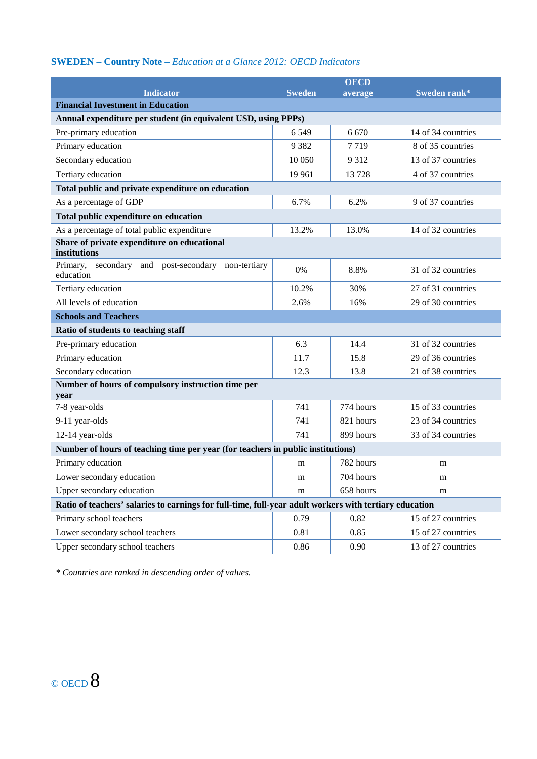|                                                                                                        |               | <b>OECD</b> |                    |  |  |
|--------------------------------------------------------------------------------------------------------|---------------|-------------|--------------------|--|--|
| <b>Indicator</b>                                                                                       | <b>Sweden</b> | average     | Sweden rank*       |  |  |
| <b>Financial Investment in Education</b>                                                               |               |             |                    |  |  |
| Annual expenditure per student (in equivalent USD, using PPPs)                                         |               |             |                    |  |  |
| Pre-primary education                                                                                  | 6549          | 6 6 7 0     | 14 of 34 countries |  |  |
| Primary education                                                                                      | 9 3 8 2       | 7719        | 8 of 35 countries  |  |  |
| Secondary education                                                                                    | 10 050        | 9312        | 13 of 37 countries |  |  |
| Tertiary education                                                                                     | 19 961        | 13728       | 4 of 37 countries  |  |  |
| Total public and private expenditure on education                                                      |               |             |                    |  |  |
| As a percentage of GDP                                                                                 | 6.7%          | 6.2%        | 9 of 37 countries  |  |  |
| Total public expenditure on education                                                                  |               |             |                    |  |  |
| As a percentage of total public expenditure                                                            | 13.2%         | 13.0%       | 14 of 32 countries |  |  |
| Share of private expenditure on educational<br>institutions                                            |               |             |                    |  |  |
| Primary, secondary and post-secondary non-tertiary<br>education                                        | 0%            | 8.8%        | 31 of 32 countries |  |  |
| Tertiary education                                                                                     | 10.2%         | 30%         | 27 of 31 countries |  |  |
| All levels of education                                                                                | 2.6%          | 16%         | 29 of 30 countries |  |  |
| <b>Schools and Teachers</b>                                                                            |               |             |                    |  |  |
| Ratio of students to teaching staff                                                                    |               |             |                    |  |  |
| Pre-primary education                                                                                  | 6.3           | 14.4        | 31 of 32 countries |  |  |
| Primary education                                                                                      | 11.7          | 15.8        | 29 of 36 countries |  |  |
| Secondary education                                                                                    | 12.3          | 13.8        | 21 of 38 countries |  |  |
| Number of hours of compulsory instruction time per                                                     |               |             |                    |  |  |
| year                                                                                                   |               |             |                    |  |  |
| 7-8 year-olds                                                                                          | 741           | 774 hours   | 15 of 33 countries |  |  |
| 9-11 year-olds                                                                                         | 741           | 821 hours   | 23 of 34 countries |  |  |
| 12-14 year-olds                                                                                        | 741           | 899 hours   | 33 of 34 countries |  |  |
| Number of hours of teaching time per year (for teachers in public institutions)                        |               |             |                    |  |  |
| Primary education                                                                                      | m             | 782 hours   | m                  |  |  |
| Lower secondary education                                                                              | m             | 704 hours   | m                  |  |  |
| Upper secondary education                                                                              | m             | 658 hours   | m                  |  |  |
| Ratio of teachers' salaries to earnings for full-time, full-year adult workers with tertiary education |               |             |                    |  |  |
| Primary school teachers                                                                                | 0.79          | 0.82        | 15 of 27 countries |  |  |
| Lower secondary school teachers                                                                        | 0.81          | 0.85        | 15 of 27 countries |  |  |
| Upper secondary school teachers                                                                        | 0.86          | 0.90        | 13 of 27 countries |  |  |

*\* Countries are ranked in descending order of values.*